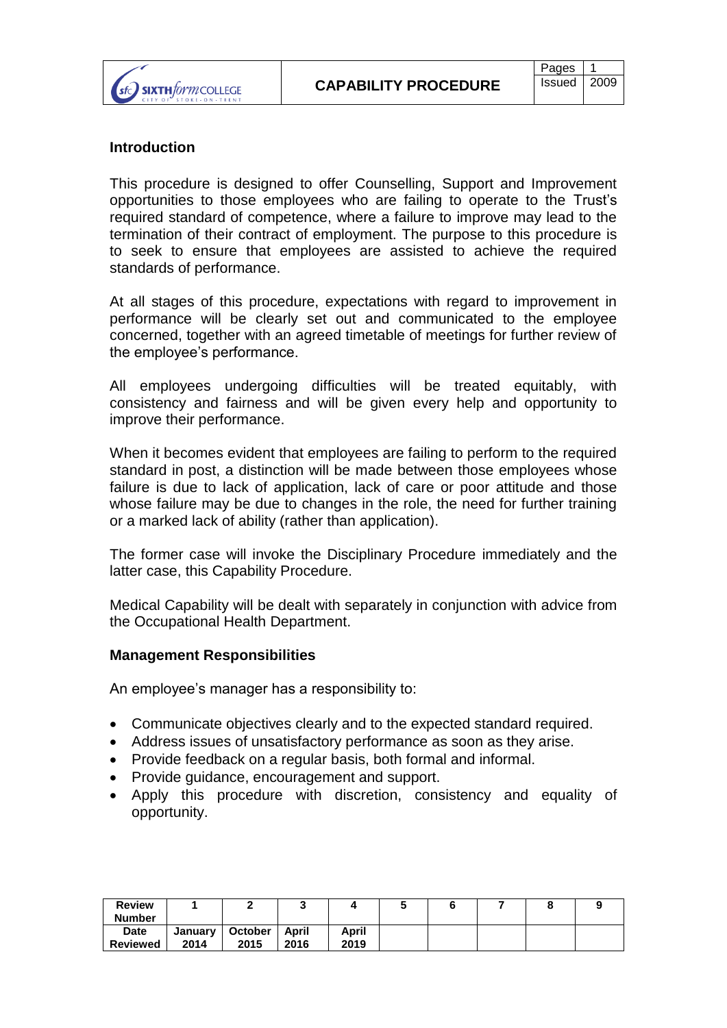

# **Introduction**

This procedure is designed to offer Counselling, Support and Improvement opportunities to those employees who are failing to operate to the Trust's required standard of competence, where a failure to improve may lead to the termination of their contract of employment. The purpose to this procedure is to seek to ensure that employees are assisted to achieve the required standards of performance.

At all stages of this procedure, expectations with regard to improvement in performance will be clearly set out and communicated to the employee concerned, together with an agreed timetable of meetings for further review of the employee's performance.

All employees undergoing difficulties will be treated equitably, with consistency and fairness and will be given every help and opportunity to improve their performance.

When it becomes evident that employees are failing to perform to the required standard in post, a distinction will be made between those employees whose failure is due to lack of application, lack of care or poor attitude and those whose failure may be due to changes in the role, the need for further training or a marked lack of ability (rather than application).

The former case will invoke the Disciplinary Procedure immediately and the latter case, this Capability Procedure.

Medical Capability will be dealt with separately in conjunction with advice from the Occupational Health Department.

#### **Management Responsibilities**

An employee's manager has a responsibility to:

- Communicate objectives clearly and to the expected standard required.
- Address issues of unsatisfactory performance as soon as they arise.
- Provide feedback on a regular basis, both formal and informal.
- Provide quidance, encouragement and support.
- Apply this procedure with discretion, consistency and equality of opportunity.

| <b>Review</b><br><b>Number</b> |                 |                        |               |               |  |  |  |
|--------------------------------|-----------------|------------------------|---------------|---------------|--|--|--|
| Date<br><b>Reviewed</b>        | January<br>2014 | <b>October</b><br>2015 | April<br>2016 | April<br>2019 |  |  |  |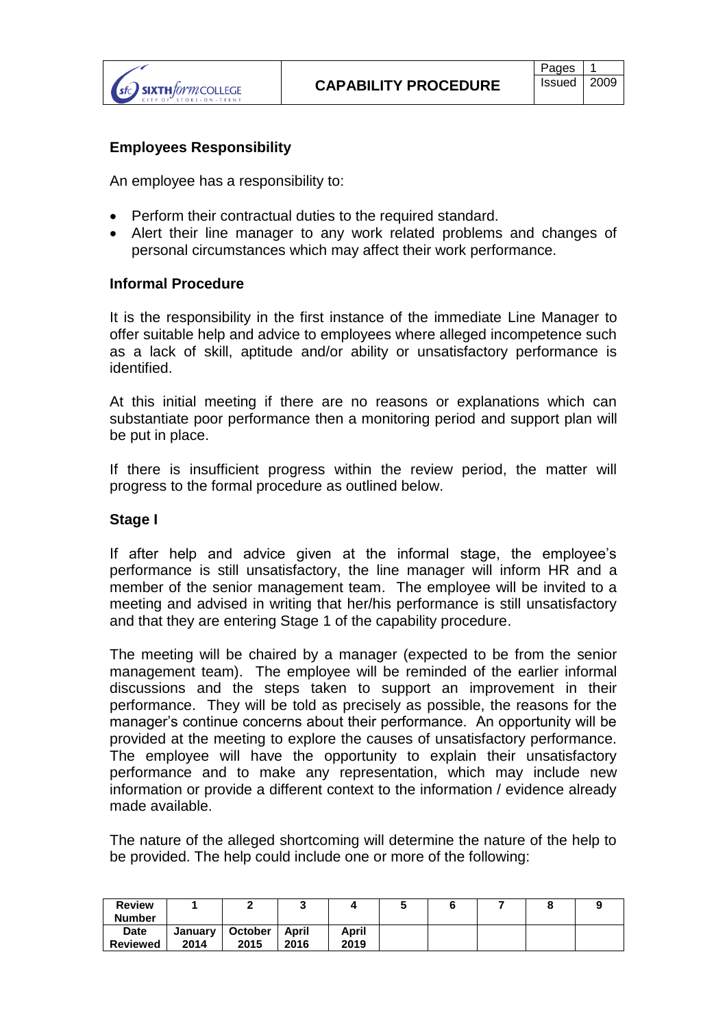

## **Employees Responsibility**

An employee has a responsibility to:

- Perform their contractual duties to the required standard.
- Alert their line manager to any work related problems and changes of personal circumstances which may affect their work performance.

### **Informal Procedure**

It is the responsibility in the first instance of the immediate Line Manager to offer suitable help and advice to employees where alleged incompetence such as a lack of skill, aptitude and/or ability or unsatisfactory performance is identified.

At this initial meeting if there are no reasons or explanations which can substantiate poor performance then a monitoring period and support plan will be put in place.

If there is insufficient progress within the review period, the matter will progress to the formal procedure as outlined below.

## **Stage I**

If after help and advice given at the informal stage, the employee's performance is still unsatisfactory, the line manager will inform HR and a member of the senior management team. The employee will be invited to a meeting and advised in writing that her/his performance is still unsatisfactory and that they are entering Stage 1 of the capability procedure.

The meeting will be chaired by a manager (expected to be from the senior management team). The employee will be reminded of the earlier informal discussions and the steps taken to support an improvement in their performance. They will be told as precisely as possible, the reasons for the manager's continue concerns about their performance. An opportunity will be provided at the meeting to explore the causes of unsatisfactory performance. The employee will have the opportunity to explain their unsatisfactory performance and to make any representation, which may include new information or provide a different context to the information / evidence already made available.

The nature of the alleged shortcoming will determine the nature of the help to be provided. The help could include one or more of the following:

| <b>Review</b><br><b>Number</b> |                 |                 | v             |               |  |  |  |
|--------------------------------|-----------------|-----------------|---------------|---------------|--|--|--|
| <b>Date</b><br><b>Reviewed</b> | January<br>2014 | October<br>2015 | April<br>2016 | April<br>2019 |  |  |  |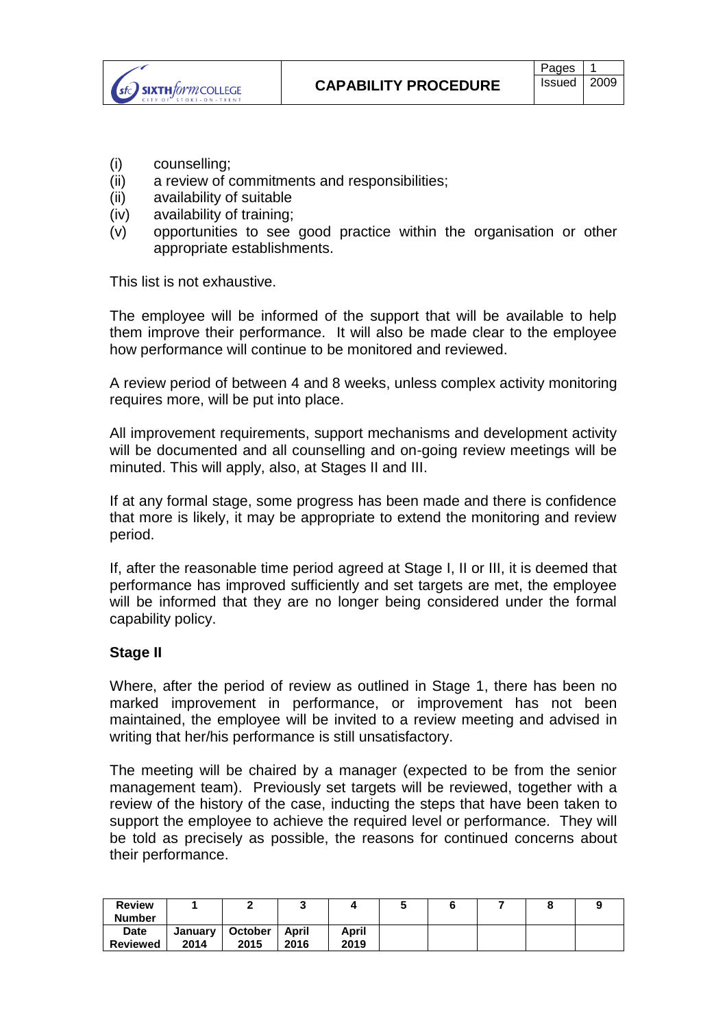(i) counselling;

SIXTH*form* COLLEGE

- (ii) a review of commitments and responsibilities;
- (ii) availability of suitable
- (iv) availability of training;
- (v) opportunities to see good practice within the organisation or other appropriate establishments.

This list is not exhaustive.

The employee will be informed of the support that will be available to help them improve their performance. It will also be made clear to the employee how performance will continue to be monitored and reviewed.

A review period of between 4 and 8 weeks, unless complex activity monitoring requires more, will be put into place.

All improvement requirements, support mechanisms and development activity will be documented and all counselling and on-going review meetings will be minuted. This will apply, also, at Stages II and III.

If at any formal stage, some progress has been made and there is confidence that more is likely, it may be appropriate to extend the monitoring and review period.

If, after the reasonable time period agreed at Stage I, II or III, it is deemed that performance has improved sufficiently and set targets are met, the employee will be informed that they are no longer being considered under the formal capability policy.

### **Stage II**

Where, after the period of review as outlined in Stage 1, there has been no marked improvement in performance, or improvement has not been maintained, the employee will be invited to a review meeting and advised in writing that her/his performance is still unsatisfactory.

The meeting will be chaired by a manager (expected to be from the senior management team). Previously set targets will be reviewed, together with a review of the history of the case, inducting the steps that have been taken to support the employee to achieve the required level or performance. They will be told as precisely as possible, the reasons for continued concerns about their performance.

| <b>Review</b><br><b>Number</b> |                 |                        |               |               |  |  |  |
|--------------------------------|-----------------|------------------------|---------------|---------------|--|--|--|
| <b>Date</b><br><b>Reviewed</b> | January<br>2014 | <b>October</b><br>2015 | April<br>2016 | April<br>2019 |  |  |  |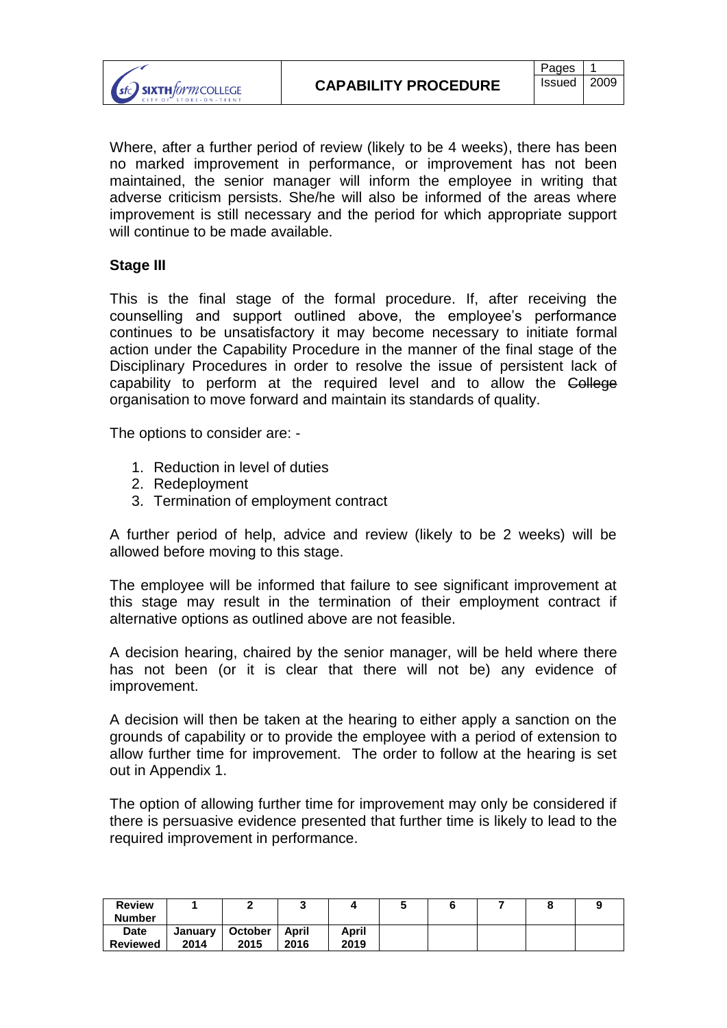

Where, after a further period of review (likely to be 4 weeks), there has been no marked improvement in performance, or improvement has not been maintained, the senior manager will inform the employee in writing that adverse criticism persists. She/he will also be informed of the areas where improvement is still necessary and the period for which appropriate support will continue to be made available.

# **Stage III**

This is the final stage of the formal procedure. If, after receiving the counselling and support outlined above, the employee's performance continues to be unsatisfactory it may become necessary to initiate formal action under the Capability Procedure in the manner of the final stage of the Disciplinary Procedures in order to resolve the issue of persistent lack of capability to perform at the required level and to allow the College organisation to move forward and maintain its standards of quality.

The options to consider are: -

- 1. Reduction in level of duties
- 2. Redeployment
- 3. Termination of employment contract

A further period of help, advice and review (likely to be 2 weeks) will be allowed before moving to this stage.

The employee will be informed that failure to see significant improvement at this stage may result in the termination of their employment contract if alternative options as outlined above are not feasible.

A decision hearing, chaired by the senior manager, will be held where there has not been (or it is clear that there will not be) any evidence of improvement.

A decision will then be taken at the hearing to either apply a sanction on the grounds of capability or to provide the employee with a period of extension to allow further time for improvement. The order to follow at the hearing is set out in Appendix 1.

The option of allowing further time for improvement may only be considered if there is persuasive evidence presented that further time is likely to lead to the required improvement in performance.

| <b>Review</b><br><b>Number</b> |                 |                 |               |               |  |  |  |
|--------------------------------|-----------------|-----------------|---------------|---------------|--|--|--|
| <b>Date</b><br><b>Reviewed</b> | January<br>2014 | October<br>2015 | April<br>2016 | April<br>2019 |  |  |  |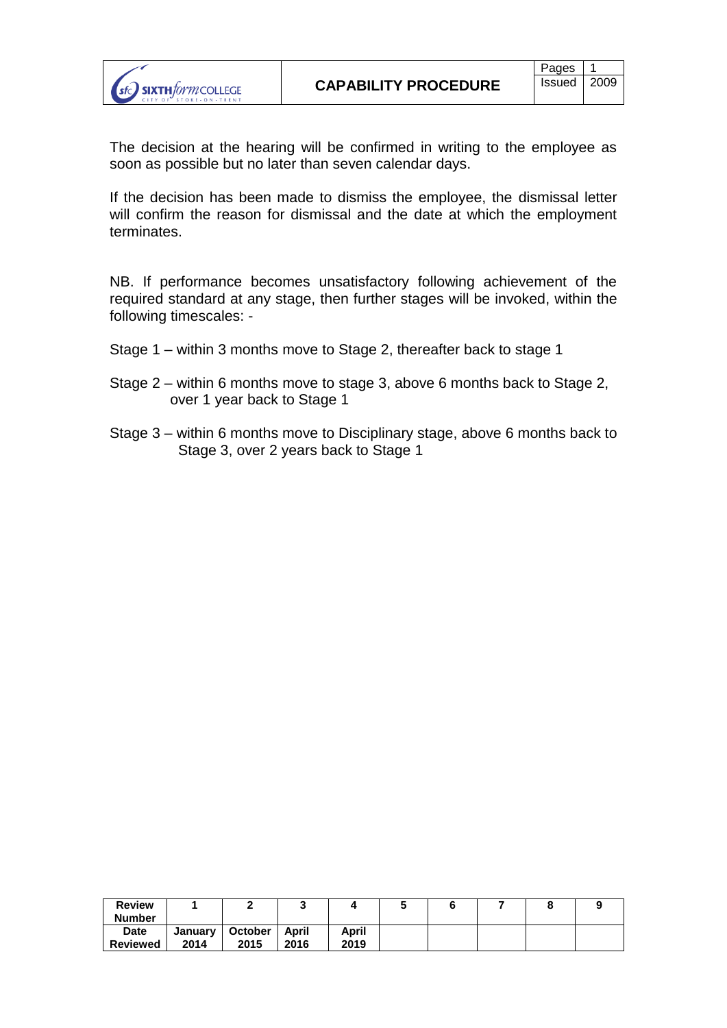The decision at the hearing will be confirmed in writing to the employee as soon as possible but no later than seven calendar days.

If the decision has been made to dismiss the employee, the dismissal letter will confirm the reason for dismissal and the date at which the employment terminates.

NB. If performance becomes unsatisfactory following achievement of the required standard at any stage, then further stages will be invoked, within the following timescales: -

- Stage 1 within 3 months move to Stage 2, thereafter back to stage 1
- Stage 2 within 6 months move to stage 3, above 6 months back to Stage 2, over 1 year back to Stage 1
- Stage 3 within 6 months move to Disciplinary stage, above 6 months back to Stage 3, over 2 years back to Stage 1

| <b>Review</b><br><b>Number</b> |                 |                        | ٠             |               |  |  |  |
|--------------------------------|-----------------|------------------------|---------------|---------------|--|--|--|
| <b>Date</b><br><b>Reviewed</b> | January<br>2014 | <b>October</b><br>2015 | April<br>2016 | April<br>2019 |  |  |  |